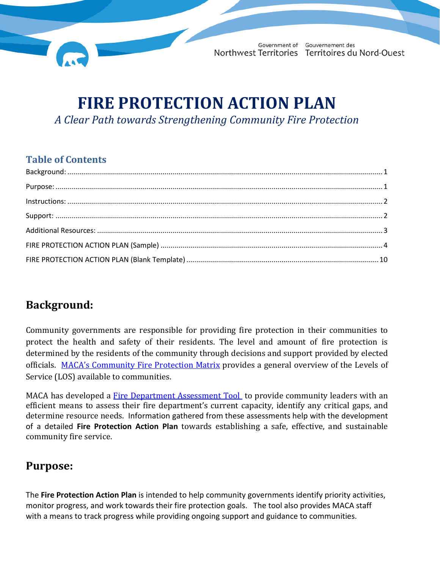

# **FIRE PROTECTION ACTION PLAN** *A Clear Path towards Strengthening Community Fire Protection*

#### **Table of Contents**

### <span id="page-0-0"></span>**Background:**

Community governments are responsible for providing fire protection in their communities to protect the health and safety of their residents. The level and amount of fire protection is determined by the residents of the community through decisions and support provided by elected officials. [MACA's Community Fire Protection Matrix](http://www.maca.gov.nt.ca/en/services/community-fire-protection/community-fire-protection-matrix) provides a general overview of the Levels of Service (LOS) available to communities.

MACA has developed a [Fire Department Assessment Tool](http://www.maca.gov.nt.ca/en/services/community-fire-protection/fire-department-assessment-tool) to provide community leaders with an efficient means to assess their fire department's current capacity, identify any critical gaps, and determine resource needs. Information gathered from these assessments help with the development of a detailed **Fire Protection Action Plan** towards establishing a safe, effective, and sustainable community fire service.

### <span id="page-0-1"></span>**Purpose:**

The **Fire Protection Action Plan** is intended to help community governments identify priority activities, monitor progress, and work towards their fire protection goals. The tool also provides MACA staff with a means to track progress while providing ongoing support and guidance to communities.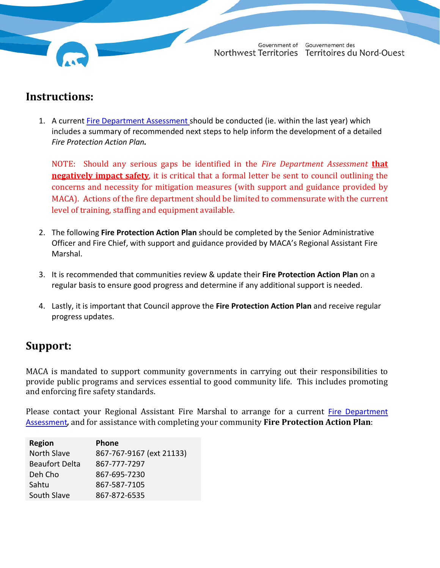## <span id="page-1-0"></span>**Instructions:**

1. A current [Fire Department Assessment](http://www.maca.gov.nt.ca/en/services/community-fire-protection/fire-department-assessment-tool) should be conducted (ie. within the last year) which includes a summary of recommended next steps to help inform the development of a detailed *Fire Protection Action Plan.*

NOTE: Should any serious gaps be identified in the *Fire Department Assessment* **that negatively impact safety**, it is critical that a formal letter be sent to council outlining the concerns and necessity for mitigation measures (with support and guidance provided by MACA). Actions of the fire department should be limited to commensurate with the current level of training, staffing and equipment available.

- 2. The following **Fire Protection Action Plan** should be completed by the Senior Administrative Officer and Fire Chief, with support and guidance provided by MACA's Regional Assistant Fire Marshal.
- 3. It is recommended that communities review & update their **Fire Protection Action Plan** on a regular basis to ensure good progress and determine if any additional support is needed.
- 4. Lastly, it is important that Council approve the **Fire Protection Action Plan** and receive regular progress updates.

## <span id="page-1-1"></span>**Support:**

MACA is mandated to support community governments in carrying out their responsibilities to provide public programs and services essential to good community life. This includes promoting and enforcing fire safety standards.

Please contact your Regional Assistant Fire Marshal to arrange for a current [Fire Department](http://www.maca.gov.nt.ca/en/services/community-fire-protection/fire-department-assessment-tool)  [Assessment](http://www.maca.gov.nt.ca/en/services/community-fire-protection/fire-department-assessment-tool)*,* and for assistance with completing your community **Fire Protection Action Plan**:

| <b>Region</b>         | Phone                    |
|-----------------------|--------------------------|
| North Slave           | 867-767-9167 (ext 21133) |
| <b>Beaufort Delta</b> | 867-777-7297             |
| Deh Cho               | 867-695-7230             |
| Sahtu                 | 867-587-7105             |
| South Slave           | 867-872-6535             |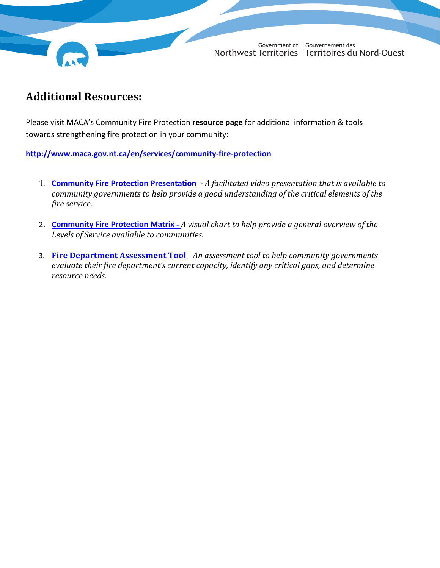Government of Gouvernement des Northwest Territories Territoires du Nord-Ouest

#### <span id="page-2-0"></span>**Additional Resources:**

Please visit MACA's Community Fire Protection **resource page** for additional information & tools towards strengthening fire protection in your community:

**<http://www.maca.gov.nt.ca/en/services/community-fire-protection>**

- 1. **[Community Fire Protection Presentation](http://www.maca.gov.nt.ca/en/services/community-fire-protection/nwt-community-fire-protection-video)** *A facilitated video presentation that is available to community governments to help provide a good understanding of the critical elements of the fire service.*
- 2. **[Community Fire Protection Matrix](http://www.maca.gov.nt.ca/en/services/community-fire-protection/community-fire-protection-matrix)** *A visual chart to help provide a general overview of the Levels of Service available to communities.*
- 3. **[Fire Department Assessment Tool](http://www.maca.gov.nt.ca/en/services/community-fire-protection/fire-department-assessment-tool)** *An assessment tool to help community governments evaluate their fire department's current capacity, identify any critical gaps, and determine resource needs.*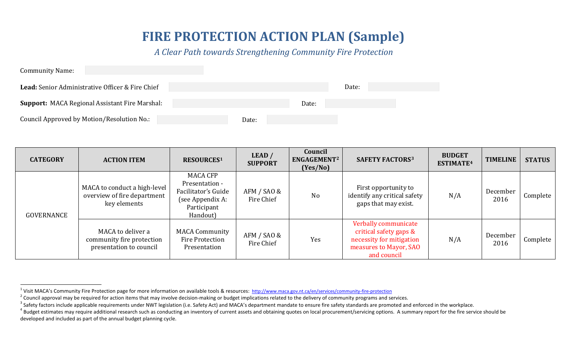# <span id="page-3-4"></span><span id="page-3-3"></span><span id="page-3-2"></span><span id="page-3-1"></span>**FIRE PROTECTION ACTION PLAN (Sample)**

*A Clear Path towards Strengthening Community Fire Protection*

| <b>Community Name:</b>                                  |       |
|---------------------------------------------------------|-------|
| <b>Lead:</b> Senior Administrative Officer & Fire Chief | Date: |
| Support: MACA Regional Assistant Fire Marshal:          | Date: |
| Council Approved by Motion/Resolution No.:              | Date: |

<span id="page-3-0"></span>

| <b>CATEGORY</b> | <b>ACTION ITEM</b>                                                          | <b>RESOURCES1</b>                                                                                       | LEAD/<br><b>SUPPORT</b>   | Council<br>ENGAGEMENT <sup>2</sup><br>(Yes/No) | <b>SAFETY FACTORS3</b>                                                                                              | <b>BUDGET</b><br>ESTIMATE <sup>4</sup> | <b>TIMELINE</b>  | <b>STATUS</b> |
|-----------------|-----------------------------------------------------------------------------|---------------------------------------------------------------------------------------------------------|---------------------------|------------------------------------------------|---------------------------------------------------------------------------------------------------------------------|----------------------------------------|------------------|---------------|
| GOVERNANCE      | MACA to conduct a high-level<br>overview of fire department<br>key elements | <b>MACA CFP</b><br>Presentation -<br>Facilitator's Guide<br>(see Appendix A:<br>Participant<br>Handout) | AFM / SAO &<br>Fire Chief | N <sub>o</sub>                                 | First opportunity to<br>identify any critical safety<br>gaps that may exist.                                        | N/A                                    | December<br>2016 | Complete      |
|                 | MACA to deliver a<br>community fire protection<br>presentation to council   | <b>MACA Community</b><br><b>Fire Protection</b><br>Presentation                                         | AFM / SAO &<br>Fire Chief | Yes                                            | Verbally communicate<br>critical safety gaps &<br>necessity for mitigation<br>measures to Mayor, SAO<br>and council | N/A                                    | December<br>2016 | Complete      |

<sup>&</sup>lt;sup>1</sup> Visit MACA's Community Fire Protection page for more information on available tools & resources:<http://www.maca.gov.nt.ca/en/services/community-fire-protection><br><sup>2</sup> Council approval may be required for action items th

developed and included as part of the annual budget planning cycle.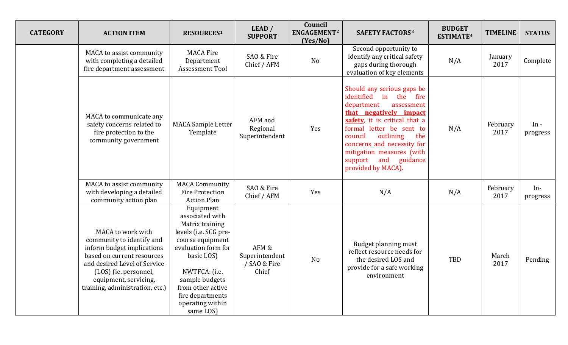| <b>CATEGORY</b> | <b>ACTION ITEM</b>                                                                                                                                                                                                              | <b>RESOURCES1</b>                                                                                                                                                                                                                              | LEAD /<br><b>SUPPORT</b>                         | Council<br>ENGAGEMENT <sup>2</sup><br>(Yes/No) | <b>SAFETY FACTORS3</b>                                                                                                                                                                                                                                                                                                      | <b>BUDGET</b><br>ESTIMATE <sup>4</sup> | <b>TIMELINE</b>  | <b>STATUS</b>      |
|-----------------|---------------------------------------------------------------------------------------------------------------------------------------------------------------------------------------------------------------------------------|------------------------------------------------------------------------------------------------------------------------------------------------------------------------------------------------------------------------------------------------|--------------------------------------------------|------------------------------------------------|-----------------------------------------------------------------------------------------------------------------------------------------------------------------------------------------------------------------------------------------------------------------------------------------------------------------------------|----------------------------------------|------------------|--------------------|
|                 | MACA to assist community<br>with completing a detailed<br>fire department assessment                                                                                                                                            | <b>MACA Fire</b><br>Department<br><b>Assessment Tool</b>                                                                                                                                                                                       | SAO & Fire<br>Chief / AFM                        | No                                             | Second opportunity to<br>identify any critical safety<br>gaps during thorough<br>evaluation of key elements                                                                                                                                                                                                                 | N/A                                    | January<br>2017  | Complete           |
|                 | MACA to communicate any<br>safety concerns related to<br>fire protection to the<br>community government                                                                                                                         | <b>MACA Sample Letter</b><br>Template                                                                                                                                                                                                          | AFM and<br>Regional<br>Superintendent            | Yes                                            | Should any serious gaps be<br>identified<br>in<br>the<br>fire<br>department<br>assessment<br>that negatively impact<br>safety, it is critical that a<br>formal letter be sent to<br>council<br>outlining<br>the<br>concerns and necessity for<br>mitigation measures (with<br>support and<br>guidance<br>provided by MACA). | N/A                                    | February<br>2017 | $In -$<br>progress |
|                 | MACA to assist community<br>with developing a detailed<br>community action plan                                                                                                                                                 | <b>MACA Community</b><br>Fire Protection<br><b>Action Plan</b>                                                                                                                                                                                 | SAO & Fire<br>Chief / AFM                        | Yes                                            | N/A                                                                                                                                                                                                                                                                                                                         | N/A                                    | February<br>2017 | $In-$<br>progress  |
|                 | MACA to work with<br>community to identify and<br>inform budget implications<br>based on current resources<br>and desired Level of Service<br>(LOS) (ie. personnel,<br>equipment, servicing,<br>training, administration, etc.) | Equipment<br>associated with<br>Matrix training<br>levels (i.e. SCG pre-<br>course equipment<br>evaluation form for<br>basic LOS)<br>NWTFCA: (i.e.<br>sample budgets<br>from other active<br>fire departments<br>operating within<br>same LOS) | AFM &<br>Superintendent<br>/ SAO & Fire<br>Chief | No                                             | Budget planning must<br>reflect resource needs for<br>the desired LOS and<br>provide for a safe working<br>environment                                                                                                                                                                                                      | TBD                                    | March<br>2017    | Pending            |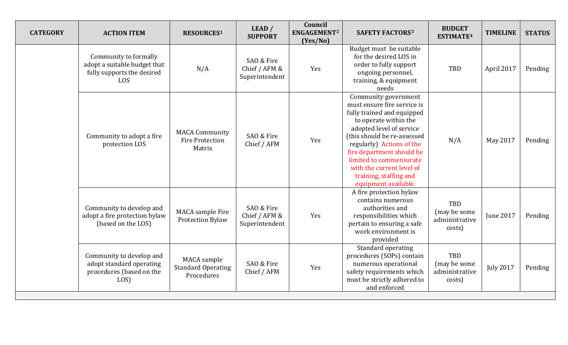| <b>CATEGORY</b> | <b>ACTION ITEM</b>                                                                         | <b>RESOURCES1</b>                                         | LEAD /<br><b>SUPPORT</b>                      | Council<br>ENGAGEMENT <sup>2</sup><br>(Yes/No) | <b>SAFETY FACTORS3</b>                                                                                                                                                                                                                                                                                                                    | <b>BUDGET</b><br>ESTIMATE <sup>4</sup>          | <b>TIMELINE</b>  | <b>STATUS</b> |
|-----------------|--------------------------------------------------------------------------------------------|-----------------------------------------------------------|-----------------------------------------------|------------------------------------------------|-------------------------------------------------------------------------------------------------------------------------------------------------------------------------------------------------------------------------------------------------------------------------------------------------------------------------------------------|-------------------------------------------------|------------------|---------------|
|                 | Community to formally<br>adopt a suitable budget that<br>fully supports the desired<br>LOS | N/A                                                       | SAO & Fire<br>Chief / AFM &<br>Superintendent | Yes                                            | Budget must be suitable<br>for the desired LOS in<br>order to fully support<br>ongoing personnel,<br>training, & equipment<br>needs                                                                                                                                                                                                       | TBD                                             | April 2017       | Pending       |
|                 | Community to adopt a fire<br>protection LOS                                                | <b>MACA Community</b><br><b>Fire Protection</b><br>Matrix | SAO & Fire<br>Chief / AFM                     | Yes                                            | Community government<br>must ensure fire service is<br>fully trained and equipped<br>to operate within the<br>adopted level of service<br>(this should be re-assessed<br>regularly) Actions of the<br>fire department should be<br>limited to commensurate<br>with the current level of<br>training, staffing and<br>equipment available. | N/A                                             | May 2017         | Pending       |
|                 | Community to develop and<br>adopt a fire protection bylaw<br>(based on the LOS)            | MACA sample Fire<br><b>Protection Bylaw</b>               | SAO & Fire<br>Chief / AFM &<br>Superintendent | Yes                                            | A fire protection bylaw<br>contains numerous<br>authorities and<br>responsibilities which<br>pertain to ensuring a safe<br>work environment is<br>provided                                                                                                                                                                                | TBD<br>(may be some<br>administrative<br>costs) | <b>June 2017</b> | Pending       |
|                 | Community to develop and<br>adopt standard operating<br>procedures (based on the<br>LOS)   | MACA sample<br><b>Standard Operating</b><br>Procedures    | SAO & Fire<br>Chief / AFM                     | Yes                                            | Standard operating<br>procedures (SOPs) contain<br>numerous operational<br>safety requirements which<br>must be strictly adhered to<br>and enforced                                                                                                                                                                                       | TBD<br>(may be some<br>administrative<br>costs) | <b>July 2017</b> | Pending       |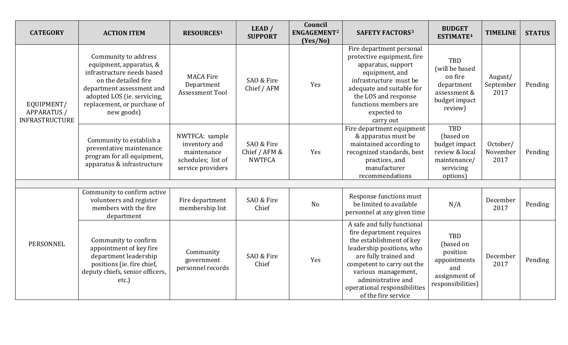| <b>CATEGORY</b>                                           | <b>ACTION ITEM</b>                                                                                                                                                                                             | <b>RESOURCES1</b>                                                                         | LEAD /<br><b>SUPPORT</b>                     | Council<br>ENGAGEMENT <sup>2</sup><br>(Yes/No) | <b>SAFETY FACTORS3</b>                                                                                                                                                                                                                                                      | <b>BUDGET</b><br>ESTIMATE <sup>4</sup>                                                              | <b>TIMELINE</b>              | <b>STATUS</b> |
|-----------------------------------------------------------|----------------------------------------------------------------------------------------------------------------------------------------------------------------------------------------------------------------|-------------------------------------------------------------------------------------------|----------------------------------------------|------------------------------------------------|-----------------------------------------------------------------------------------------------------------------------------------------------------------------------------------------------------------------------------------------------------------------------------|-----------------------------------------------------------------------------------------------------|------------------------------|---------------|
| EQUIPMENT/<br><b>APPARATUS /</b><br><b>INFRASTRUCTURE</b> | Community to address<br>equipment, apparatus, &<br>infrastructure needs based<br>on the detailed fire<br>department assessment and<br>adopted LOS (ie. servicing,<br>replacement, or purchase of<br>new goods) | <b>MACA Fire</b><br>Department<br>Assessment Tool                                         | SAO & Fire<br>Chief / AFM                    | Yes                                            | Fire department personal<br>protective equipment, fire<br>apparatus, support<br>equipment, and<br>infrastructure must be<br>adequate and suitable for<br>the LOS and response<br>functions members are<br>expected to<br>carry out                                          | <b>TBD</b><br>(will be based<br>on fire<br>department<br>assessment &<br>budget impact<br>review)   | August/<br>September<br>2017 | Pending       |
|                                                           | Community to establish a<br>preventative maintenance<br>program for all equipment,<br>apparatus & infrastructure                                                                                               | NWTFCA: sample<br>inventory and<br>maintenance<br>schedules; list of<br>service providers | SAO & Fire<br>Chief / AFM &<br><b>NWTFCA</b> | Yes                                            | Fire department equipment<br>& apparatus must be<br>maintained according to<br>recognized standards, best<br>practices, and<br>manufacturer<br>recommendations                                                                                                              | <b>TBD</b><br>(based on<br>budget impact<br>review & local<br>maintenance/<br>servicing<br>options) | October/<br>November<br>2017 | Pending       |
|                                                           |                                                                                                                                                                                                                |                                                                                           |                                              |                                                |                                                                                                                                                                                                                                                                             |                                                                                                     |                              |               |
|                                                           | Community to confirm active<br>volunteers and register<br>members with the fire<br>department                                                                                                                  | Fire department<br>membership list                                                        | SAO & Fire<br>Chief                          | <b>No</b>                                      | Response functions must<br>be limited to available<br>personnel at any given time                                                                                                                                                                                           | N/A                                                                                                 | December<br>2017             | Pending       |
| <b>PERSONNEL</b>                                          | Community to confirm<br>appointment of key fire<br>department leadership<br>positions (ie. fire chief,<br>deputy chiefs, senior officers,<br>etc.                                                              | Community<br>government<br>personnel records                                              | SAO & Fire<br>Chief                          | Yes                                            | A safe and fully functional<br>fire department requires<br>the establishment of key<br>leadership positions, who<br>are fully trained and<br>competent to carry out the<br>various management,<br>administrative and<br>operational responsibilities<br>of the fire service | TBD<br>(based on<br>position<br>appointments<br>and<br>assignment of<br>responsibilities)           | December<br>2017             | Pending       |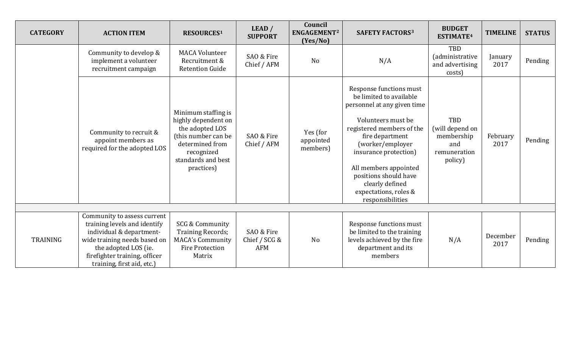| <b>CATEGORY</b> | <b>ACTION ITEM</b>                                                                                                                                                                                             | <b>RESOURCES1</b>                                                                                                                                         | LEAD /<br><b>SUPPORT</b>                  | Council<br>ENGAGEMENT <sup>2</sup><br>(Yes/No) | <b>SAFETY FACTORS3</b>                                                                                                                                                                                                                                                                                                 | <b>BUDGET</b><br>ESTIMATE <sup>4</sup>                                 | <b>TIMELINE</b>  | <b>STATUS</b> |
|-----------------|----------------------------------------------------------------------------------------------------------------------------------------------------------------------------------------------------------------|-----------------------------------------------------------------------------------------------------------------------------------------------------------|-------------------------------------------|------------------------------------------------|------------------------------------------------------------------------------------------------------------------------------------------------------------------------------------------------------------------------------------------------------------------------------------------------------------------------|------------------------------------------------------------------------|------------------|---------------|
|                 | Community to develop &<br>implement a volunteer<br>recruitment campaign                                                                                                                                        | <b>MACA Volunteer</b><br>Recruitment &<br><b>Retention Guide</b>                                                                                          | SAO & Fire<br>Chief / AFM                 | N <sub>o</sub>                                 | N/A                                                                                                                                                                                                                                                                                                                    | TBD<br><i>(administrative</i><br>and advertising<br>costs)             | January<br>2017  | Pending       |
|                 | Community to recruit &<br>appoint members as<br>required for the adopted LOS                                                                                                                                   | Minimum staffing is<br>highly dependent on<br>the adopted LOS<br>(this number can be<br>determined from<br>recognized<br>standards and best<br>practices) | SAO & Fire<br>Chief / AFM                 | Yes (for<br>appointed<br>members)              | Response functions must<br>be limited to available<br>personnel at any given time<br>Volunteers must be<br>registered members of the<br>fire department<br>(worker/employer<br>insurance protection)<br>All members appointed<br>positions should have<br>clearly defined<br>expectations, roles &<br>responsibilities | TBD<br>(will depend on<br>membership<br>and<br>remuneration<br>policy) | February<br>2017 | Pending       |
|                 |                                                                                                                                                                                                                |                                                                                                                                                           |                                           |                                                |                                                                                                                                                                                                                                                                                                                        |                                                                        |                  |               |
| <b>TRAINING</b> | Community to assess current<br>training levels and identify<br>individual & department-<br>wide training needs based on<br>the adopted LOS (ie.<br>firefighter training, officer<br>training, first aid, etc.) | SCG & Community<br><b>Training Records;</b><br><b>MACA's Community</b><br><b>Fire Protection</b><br>Matrix                                                | SAO & Fire<br>Chief / SCG &<br><b>AFM</b> | N <sub>o</sub>                                 | Response functions must<br>be limited to the training<br>levels achieved by the fire<br>department and its<br>members                                                                                                                                                                                                  | N/A                                                                    | December<br>2017 | Pending       |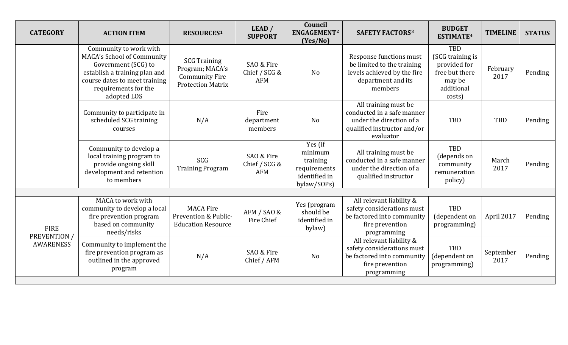| <b>CATEGORY</b>                                 | <b>ACTION ITEM</b>                                                                                                                                                                   | <b>RESOURCES1</b>                                                                           | LEAD /<br><b>SUPPORT</b>                  | Council<br>ENGAGEMENT <sup>2</sup><br>(Yes/No)                                 | <b>SAFETY FACTORS3</b>                                                                                                     | <b>BUDGET</b><br>ESTIMATE <sup>4</sup>                                                             | <b>TIMELINE</b>   | <b>STATUS</b> |
|-------------------------------------------------|--------------------------------------------------------------------------------------------------------------------------------------------------------------------------------------|---------------------------------------------------------------------------------------------|-------------------------------------------|--------------------------------------------------------------------------------|----------------------------------------------------------------------------------------------------------------------------|----------------------------------------------------------------------------------------------------|-------------------|---------------|
|                                                 | Community to work with<br>MACA's School of Community<br>Government (SCG) to<br>establish a training plan and<br>course dates to meet training<br>requirements for the<br>adopted LOS | <b>SCG Training</b><br>Program; MACA's<br><b>Community Fire</b><br><b>Protection Matrix</b> | SAO & Fire<br>Chief / SCG &<br><b>AFM</b> | <b>No</b>                                                                      | Response functions must<br>be limited to the training<br>levels achieved by the fire<br>department and its<br>members      | <b>TBD</b><br>(SCG training is<br>provided for<br>free but there<br>may be<br>additional<br>costs) | February<br>2017  | Pending       |
|                                                 | Community to participate in<br>scheduled SCG training<br>courses                                                                                                                     | N/A                                                                                         | Fire<br>department<br>members             | N <sub>o</sub>                                                                 | All training must be<br>conducted in a safe manner<br>under the direction of a<br>qualified instructor and/or<br>evaluator | TBD                                                                                                | TBD               | Pending       |
|                                                 | Community to develop a<br>local training program to<br>provide ongoing skill<br>development and retention<br>to members                                                              | <b>SCG</b><br><b>Training Program</b>                                                       | SAO & Fire<br>Chief / SCG &<br><b>AFM</b> | Yes (if<br>minimum<br>training<br>requirements<br>identified in<br>bylaw/SOPs) | All training must be<br>conducted in a safe manner<br>under the direction of a<br>qualified instructor                     | TBD<br>(depends on<br>community<br>remuneration<br>policy)                                         | March<br>2017     | Pending       |
|                                                 | MACA to work with                                                                                                                                                                    |                                                                                             |                                           |                                                                                | All relevant liability &                                                                                                   |                                                                                                    |                   |               |
| <b>FIRE</b><br>PREVENTION /<br><b>AWARENESS</b> | community to develop a local<br>fire prevention program<br>based on community<br>needs/risks                                                                                         | <b>MACA Fire</b><br>Prevention & Public-<br><b>Education Resource</b>                       | AFM / SAO &<br>Fire Chief                 | Yes (program<br>should be<br>identified in<br>bylaw)                           | safety considerations must<br>be factored into community<br>fire prevention<br>programming                                 | TBD<br>(dependent on<br>programming)                                                               | April 2017        | Pending       |
|                                                 | Community to implement the<br>fire prevention program as<br>outlined in the approved<br>program                                                                                      | N/A                                                                                         | SAO & Fire<br>Chief / AFM                 | N <sub>o</sub>                                                                 | All relevant liability &<br>safety considerations must<br>be factored into community<br>fire prevention<br>programming     | TBD<br>(dependent on<br>programming)                                                               | September<br>2017 | Pending       |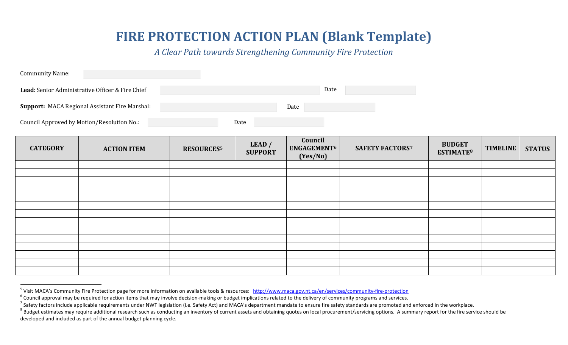# **FIRE PROTECTION ACTION PLAN (Blank Template)**

<span id="page-9-4"></span><span id="page-9-3"></span><span id="page-9-2"></span><span id="page-9-1"></span>*A Clear Path towards Strengthening Community Fire Protection*

| <b>Community Name:</b>                                  |      |      |
|---------------------------------------------------------|------|------|
| <b>Lead:</b> Senior Administrative Officer & Fire Chief |      | Date |
| Support: MACA Regional Assistant Fire Marshal:          | Date |      |
| Council Approved by Motion/Resolution No.:              | Date |      |

<span id="page-9-0"></span>

| <b>CATEGORY</b> | <b>ACTION ITEM</b> | <b>RESOURCES5</b> | LEAD /<br><b>SUPPORT</b> | Council<br>ENGAGEMENT <sup>6</sup><br>(Yes/No) | <b>SAFETY FACTORS7</b> | <b>BUDGET</b><br>ESTIMATE <sup>8</sup> | <b>TIMELINE</b> | <b>STATUS</b> |
|-----------------|--------------------|-------------------|--------------------------|------------------------------------------------|------------------------|----------------------------------------|-----------------|---------------|
|                 |                    |                   |                          |                                                |                        |                                        |                 |               |
|                 |                    |                   |                          |                                                |                        |                                        |                 |               |
|                 |                    |                   |                          |                                                |                        |                                        |                 |               |
|                 |                    |                   |                          |                                                |                        |                                        |                 |               |
|                 |                    |                   |                          |                                                |                        |                                        |                 |               |
|                 |                    |                   |                          |                                                |                        |                                        |                 |               |
|                 |                    |                   |                          |                                                |                        |                                        |                 |               |
|                 |                    |                   |                          |                                                |                        |                                        |                 |               |
|                 |                    |                   |                          |                                                |                        |                                        |                 |               |
|                 |                    |                   |                          |                                                |                        |                                        |                 |               |
|                 |                    |                   |                          |                                                |                        |                                        |                 |               |
|                 |                    |                   |                          |                                                |                        |                                        |                 |               |
|                 |                    |                   |                          |                                                |                        |                                        |                 |               |
|                 |                    |                   |                          |                                                |                        |                                        |                 |               |

<sup>&</sup>lt;sup>5</sup> Visit MACA's Community Fire Protection page for more information on available tools & resources: <http://www.maca.gov.nt.ca/en/services/community-fire-protection><br><sup>6</sup> Council approval may be required for action items th

developed and included as part of the annual budget planning cycle.